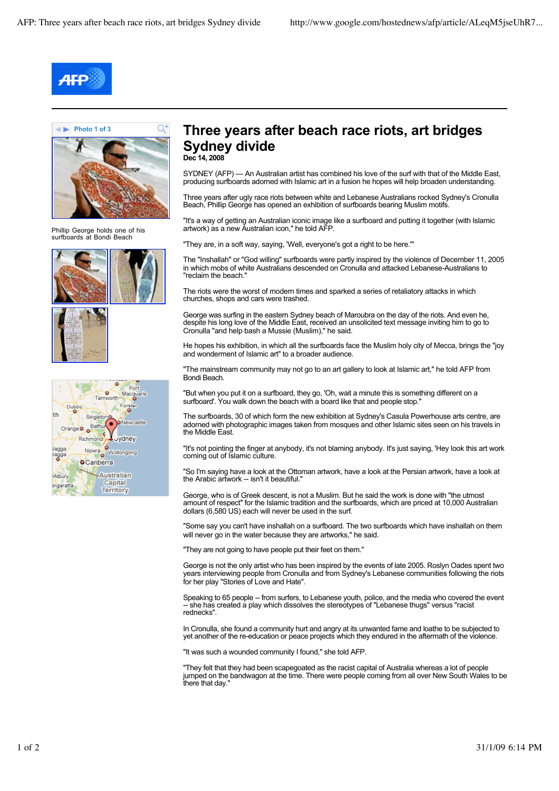Q,



**Photo 1 of 3**



Phillip George holds one of his surfboards at Bondi Beach







## **Three years after beach race riots, art bridges Sydney divide Dec 14, 2008**

SYDNEY (AFP) — An Australian artist has combined his love of the surf with that of the Middle East, producing surfboards adorned with Islamic art in a fusion he hopes will help broaden understanding.

Three years after ugly race riots between white and Lebanese Australians rocked Sydney's Cronulla Beach, Phillip George has opened an exhibition of surfboards bearing Muslim motifs.

"It's a way of getting an Australian iconic image like a surfboard and putting it together (with Islamic artwork) as a new Australian icon," he told AFP.

"They are, in a soft way, saying, 'Well, everyone's got a right to be here.'"

The "Inshallah" or "God willing" surfboards were partly inspired by the violence of December 11, 2005 in which mobs of white Australians descended on Cronulla and attacked Lebanese-Australians to "reclaim the beach."

The riots were the worst of modern times and sparked a series of retaliatory attacks in which churches, shops and cars were trashed.

George was surfing in the eastern Sydney beach of Maroubra on the day of the riots. And even he, despite his long love of the Middle East, received an unsolicited text message inviting him to go to Cronulla "and help bash a Mussie (Muslim)," he said.

He hopes his exhibition, in which all the surfboards face the Muslim holy city of Mecca, brings the "iov and wonderment of Islamic art" to a broader audience.

"The mainstream community may not go to an art gallery to look at Islamic art," he told AFP from Bondi Beach.

"But when you put it on a surfboard, they go, 'Oh, wait a minute this is something different on a surfboard'. You walk down the beach with a board like that and people stop."

The surfboards, 30 of which form the new exhibition at Sydney's Casula Powerhouse arts centre, are adorned with photographic images taken from mosques and other Islamic sites seen on his travels in the Middle East.

"It's not pointing the finger at anybody, it's not blaming anybody. It's just saying, 'Hey look this art work coming out of Islamic culture.

"So I'm saying have a look at the Ottoman artwork, have a look at the Persian artwork, have a look at the Arabic artwork -- isn't it beautiful."

George, who is of Greek descent, is not a Muslim. But he said the work is done with "the utmost amount of respect" for the Islamic tradition and the surfboards, which are priced at 10,000 Australian dollars (6,580 US) each will never be used in the surf.

"Some say you can't have inshallah on a surfboard. The two surfboards which have inshallah on them will never go in the water because they are artworks," he said.

"They are not going to have people put their feet on them."

George is not the only artist who has been inspired by the events of late 2005. Roslyn Oades spent two years interviewing people from Cronulla and from Sydney's Lebanese communities following the riots for her play "Stories of Love and Hate".

Speaking to 65 people -- from surfers, to Lebanese youth, police, and the media who covered the event -- she has created a play which dissolves the stereotypes of "Lebanese thugs" versus "racist rednecks".

In Cronulla, she found a community hurt and angry at its unwanted fame and loathe to be subjected to yet another of the re-education or peace projects which they endured in the aftermath of the violence.

"It was such a wounded community I found," she told AFP.

"They felt that they had been scapegoated as the racist capital of Australia whereas a lot of people jumped on the bandwagon at the time. There were people coming from all over New South Wales to be there that day."